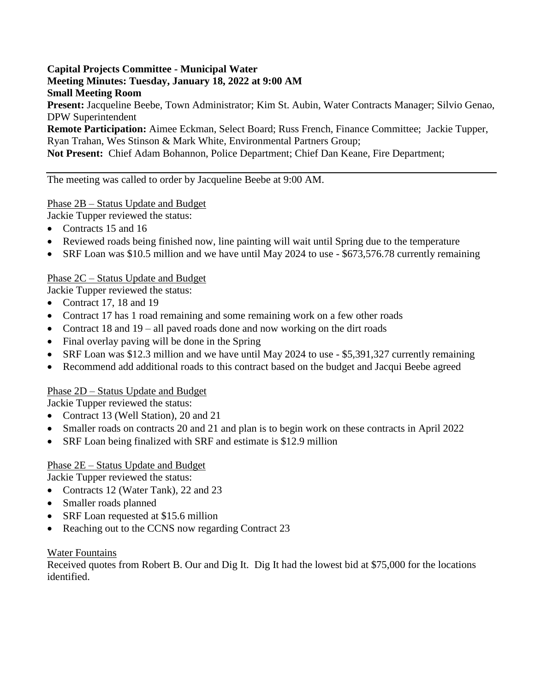## **Capital Projects Committee - Municipal Water Meeting Minutes: Tuesday, January 18, 2022 at 9:00 AM Small Meeting Room**

**Present:** Jacqueline Beebe, Town Administrator; Kim St. Aubin, Water Contracts Manager; Silvio Genao, DPW Superintendent

**Remote Participation:** Aimee Eckman, Select Board; Russ French, Finance Committee; Jackie Tupper, Ryan Trahan, Wes Stinson & Mark White, Environmental Partners Group;

**Not Present:** Chief Adam Bohannon, Police Department; Chief Dan Keane, Fire Department;

The meeting was called to order by Jacqueline Beebe at 9:00 AM.

## Phase 2B – Status Update and Budget

Jackie Tupper reviewed the status:

- Contracts 15 and 16
- Reviewed roads being finished now, line painting will wait until Spring due to the temperature
- SRF Loan was \$10.5 million and we have until May 2024 to use \$673,576.78 currently remaining

# Phase 2C – Status Update and Budget

Jackie Tupper reviewed the status:

- Contract 17, 18 and 19
- Contract 17 has 1 road remaining and some remaining work on a few other roads
- Contract 18 and  $19 \text{all}$  paved roads done and now working on the dirt roads
- Final overlay paving will be done in the Spring
- SRF Loan was \$12.3 million and we have until May 2024 to use \$5,391,327 currently remaining
- Recommend add additional roads to this contract based on the budget and Jacqui Beebe agreed

## Phase 2D – Status Update and Budget

Jackie Tupper reviewed the status:

- Contract 13 (Well Station), 20 and 21
- Smaller roads on contracts 20 and 21 and plan is to begin work on these contracts in April 2022
- SRF Loan being finalized with SRF and estimate is \$12.9 million

## Phase 2E – Status Update and Budget

Jackie Tupper reviewed the status:

- Contracts 12 (Water Tank), 22 and 23
- Smaller roads planned
- SRF Loan requested at \$15.6 million
- Reaching out to the CCNS now regarding Contract 23

## Water Fountains

Received quotes from Robert B. Our and Dig It. Dig It had the lowest bid at \$75,000 for the locations identified.